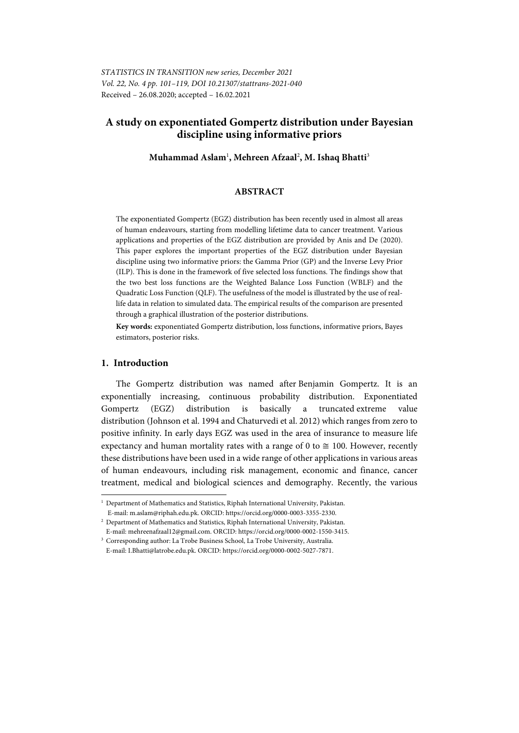# **A study on exponentiated Gompertz distribution under Bayesian discipline using informative priors**

**Muhammad Aslam**<sup>1</sup> **, Mehreen Afzaal**<sup>2</sup> **, M. Ishaq Bhatti**<sup>3</sup>

## **ABSTRACT**

The exponentiated Gompertz (EGZ) distribution has been recently used in almost all areas of human endeavours, starting from modelling lifetime data to cancer treatment. Various applications and properties of the EGZ distribution are provided by Anis and De (2020). This paper explores the important properties of the EGZ distribution under Bayesian discipline using two informative priors: the Gamma Prior (GP) and the Inverse Levy Prior (ILP). This is done in the framework of five selected loss functions. The findings show that the two best loss functions are the Weighted Balance Loss Function (WBLF) and the Quadratic Loss Function (QLF). The usefulness of the model is illustrated by the use of reallife data in relation to simulated data. The empirical results of the comparison are presented through a graphical illustration of the posterior distributions.

**Key words:** exponentiated Gompertz distribution, loss functions, informative priors, Bayes estimators, posterior risks.

### **1. Introduction**

l

The Gompertz distribution was named after Benjamin Gompertz. It is an exponentially increasing, continuous probability distribution. Exponentiated Gompertz (EGZ) distribution is basically a truncated extreme value distribution (Johnson et al. 1994 and Chaturvedi et al. 2012) which ranges from zero to positive infinity. In early days EGZ was used in the area of insurance to measure life expectancy and human mortality rates with a range of 0 to  $\approx$  100. However, recently these distributions have been used in a wide range of other applications in various areas of human endeavours, including risk management, economic and finance, cancer treatment, medical and biological sciences and demography. Recently, the various

<sup>1</sup> Department of Mathematics and Statistics, Riphah International University, Pakistan. E-mail: m.aslam@riphah.edu.pk. ORCID: https://orcid.org/0000-0003-3355-2330. 2

 $^{\rm 2}$  Department of Mathematics and Statistics, Riphah International University, Pakistan. E-mail: mehreenafzaal12@gmail.com. ORCID: https://orcid.org/0000-0002-1550-3415. 3

Corresponding author: La Trobe Business School, La Trobe University, Australia. E-mail: I.Bhatti@latrobe.edu.pk. ORCID: https://orcid.org/0000-0002-5027-7871.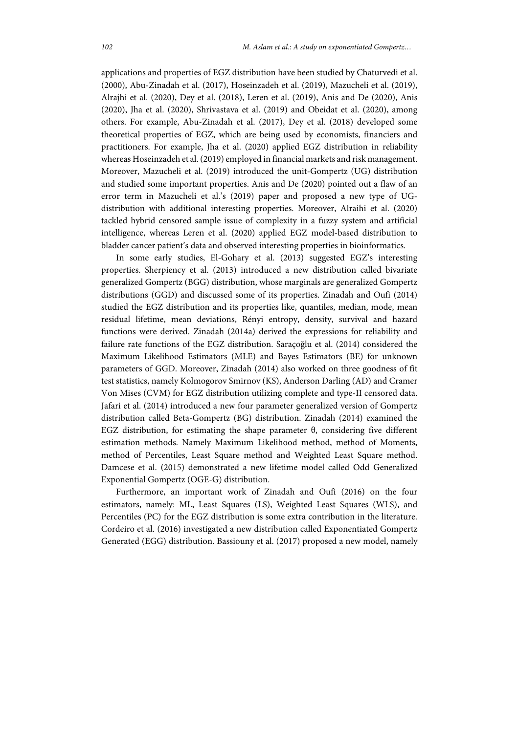applications and properties of EGZ distribution have been studied by Chaturvedi et al. (2000), Abu-Zinadah et al. (2017), Hoseinzadeh et al. (2019), Mazucheli et al. (2019), Alrajhi et al. (2020), Dey et al. (2018), Leren et al. (2019), Anis and De (2020), Anis (2020), Jha et al. (2020), Shrivastava et al. (2019) and Obeidat et al. (2020), among others. For example, Abu-Zinadah et al. (2017), Dey et al. (2018) developed some theoretical properties of EGZ, which are being used by economists, financiers and practitioners. For example, Jha et al. (2020) applied EGZ distribution in reliability whereas Hoseinzadeh et al. (2019) employed in financial markets and risk management. Moreover, Mazucheli et al. (2019) introduced the unit-Gompertz (UG) distribution and studied some important properties. Anis and De (2020) pointed out a flaw of an error term in Mazucheli et al.'s (2019) paper and proposed a new type of UGdistribution with additional interesting properties. Moreover, Alraihi et al. (2020) tackled hybrid censored sample issue of complexity in a fuzzy system and artificial intelligence, whereas Leren et al. (2020) applied EGZ model-based distribution to bladder cancer patient's data and observed interesting properties in bioinformatics.

In some early studies, El-Gohary et al. (2013) suggested EGZ's interesting properties. Sherpiency et al. (2013) introduced a new distribution called bivariate generalized Gompertz (BGG) distribution, whose marginals are generalized Gompertz distributions (GGD) and discussed some of its properties. Zinadah and Oufi (2014) studied the EGZ distribution and its properties like, quantiles, median, mode, mean residual lifetime, mean deviations, Rényi entropy, density, survival and hazard functions were derived. Zinadah (2014a) derived the expressions for reliability and failure rate functions of the EGZ distribution. Saraçoğlu et al. (2014) considered the Maximum Likelihood Estimators (MLE) and Bayes Estimators (BE) for unknown parameters of GGD. Moreover, Zinadah (2014) also worked on three goodness of fit test statistics, namely Kolmogorov Smirnov (KS), Anderson Darling (AD) and Cramer Von Mises (CVM) for EGZ distribution utilizing complete and type-II censored data. Jafari et al. (2014) introduced a new four parameter generalized version of Gompertz distribution called Beta-Gompertz (BG) distribution. Zinadah (2014) examined the EGZ distribution, for estimating the shape parameter θ, considering five different estimation methods. Namely Maximum Likelihood method, method of Moments, method of Percentiles, Least Square method and Weighted Least Square method. Damcese et al. (2015) demonstrated a new lifetime model called Odd Generalized Exponential Gompertz (OGE-G) distribution.

Furthermore, an important work of Zinadah and Oufi (2016) on the four estimators, namely: ML, Least Squares (LS), Weighted Least Squares (WLS), and Percentiles (PC) for the EGZ distribution is some extra contribution in the literature. Cordeiro et al. (2016) investigated a new distribution called Exponentiated Gompertz Generated (EGG) distribution. Bassiouny et al. (2017) proposed a new model, namely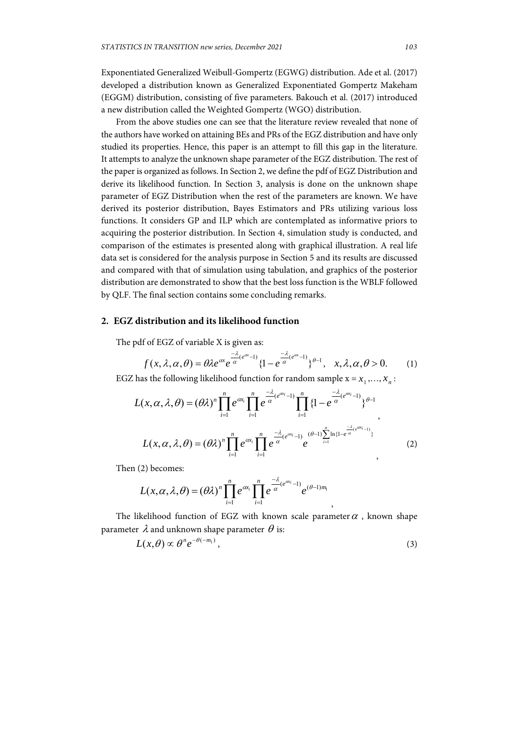Exponentiated Generalized Weibull-Gompertz (EGWG) distribution. Ade et al. (2017) developed a distribution known as Generalized Exponentiated Gompertz Makeham (EGGM) distribution, consisting of five parameters. Bakouch et al. (2017) introduced a new distribution called the Weighted Gompertz (WGO) distribution.

From the above studies one can see that the literature review revealed that none of the authors have worked on attaining BEs and PRs of the EGZ distribution and have only studied its properties. Hence, this paper is an attempt to fill this gap in the literature. It attempts to analyze the unknown shape parameter of the EGZ distribution. The rest of the paper is organized as follows. In Section 2, we define the pdf of EGZ Distribution and derive its likelihood function. In Section 3, analysis is done on the unknown shape parameter of EGZ Distribution when the rest of the parameters are known. We have derived its posterior distribution, Bayes Estimators and PRs utilizing various loss functions. It considers GP and ILP which are contemplated as informative priors to acquiring the posterior distribution. In Section 4, simulation study is conducted, and comparison of the estimates is presented along with graphical illustration. A real life data set is considered for the analysis purpose in Section 5 and its results are discussed and compared with that of simulation using tabulation, and graphics of the posterior distribution are demonstrated to show that the best loss function is the WBLF followed by QLF. The final section contains some concluding remarks.

# **2. EGZ distribution and its likelihood function**

The pdf of EGZ of variable X is given as:

$$
f(x, \lambda, \alpha, \theta) = \theta \lambda e^{\alpha x} e^{\frac{-\lambda}{\alpha} (e^{\alpha x} - 1)} \{1 - e^{\frac{-\lambda}{\alpha} (e^{\alpha x} - 1)}\}^{\theta - 1}, \quad x, \lambda, \alpha, \theta > 0. \tag{1}
$$

EGZ has the following likelihood function for random sample  $x = x_1, ..., x_n$ :

$$
L(x, \alpha, \lambda, \theta) = (\theta \lambda)^n \prod_{i=1}^n e^{\alpha x_i} \prod_{i=1}^n e^{\frac{-\lambda}{\alpha} (e^{\alpha x_i} - 1)} \prod_{i=1}^n \{1 - e^{\frac{-\lambda}{\alpha} (e^{\alpha x_i} - 1)}\}^{\theta - 1},
$$
  

$$
L(x, \alpha, \lambda, \theta) = (\theta \lambda)^n \prod_{i=1}^n e^{\alpha x_i} \prod_{i=1}^n e^{\frac{-\lambda}{\alpha} (e^{\alpha x_i} - 1)} e^{\frac{-\lambda}{\alpha} [1 + e^{\frac{-\lambda}{\alpha} (e^{\alpha x_i} - 1)}]},
$$
(2)

Then (2) becomes:

$$
L(x, \alpha, \lambda, \theta) = (\theta \lambda)^n \prod_{i=1}^n e^{\alpha x_i} \prod_{i=1}^n e^{\frac{-\lambda}{\alpha} (e^{\alpha x_i} - 1)} e^{(\theta - 1)m_1}
$$

The likelihood function of EGZ with known scale parameter  $\alpha$ , known shape parameter  $\lambda$  and unknown shape parameter  $\theta$  is:

$$
L(x,\theta) \propto \theta^n e^{-\theta(-m_1)}, \qquad (3)
$$

,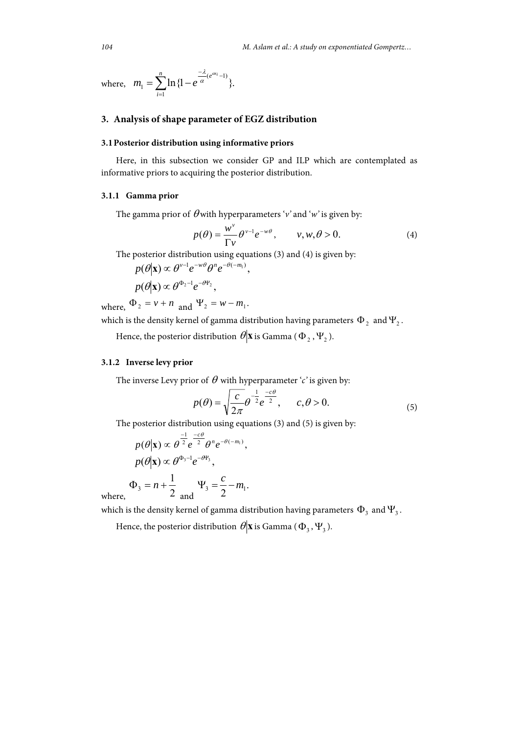where, 
$$
m_1 = \sum_{i=1}^n \ln\{1 - e^{\frac{-\lambda}{\alpha}(e^{\alpha x_i} - 1)}\}.
$$

# **3. Analysis of shape parameter of EGZ distribution**

## **3.1 Posterior distribution using informative priors**

Here, in this subsection we consider GP and ILP which are contemplated as informative priors to acquiring the posterior distribution.

#### **3.1.1 Gamma prior**

The gamma prior of  $\theta$  with hyperparameters 'v' and 'w' is given by:

$$
p(\theta) = \frac{w^{\nu}}{\Gamma \nu} \theta^{\nu - 1} e^{-w\theta}, \qquad v, w, \theta > 0.
$$
 (4)

The posterior distribution using equations (3) and (4) is given by:

$$
p(\theta|\mathbf{x}) \propto \theta^{\nu-1} e^{-w\theta} \theta^n e^{-\theta(-m_1)},
$$
  
 
$$
p(\theta|\mathbf{x}) \propto \theta^{\Phi_2-1} e^{-\theta \Psi_2},
$$

where,  $\Phi_2 = v + n$  and  $\Psi_2 = w - m_1$ .

which is the density kernel of gamma distribution having parameters  $\Phi_2$  and  $\Psi_2$ .

Hence, the posterior distribution  $\theta$ **x** is Gamma ( $\Phi$ <sub>2</sub>,  $\Psi$ <sub>2</sub>).

#### **3.1.2 Inverse levy prior**

The inverse Levy prior of  $\theta$  with hyperparameter '*c*' is given by:

$$
p(\theta) = \sqrt{\frac{c}{2\pi}} \theta^{-\frac{1}{2}} e^{-\frac{c\theta}{2}}, \qquad c, \theta > 0.
$$
 (5)

The posterior distribution using equations (3) and (5) is given by:

$$
p(\theta|\mathbf{x}) \propto \theta^{\frac{-1}{2}} e^{\frac{-c\theta}{2}} \theta^n e^{-\theta(-m_1)},
$$
  
\n
$$
p(\theta|\mathbf{x}) \propto \theta^{\Phi_3-1} e^{-\theta V_3},
$$
  
\n
$$
\Phi_3 = n + \frac{1}{2} \qquad \Psi_3 = \frac{c}{2} - m_1.
$$

where,

which is the density kernel of gamma distribution having parameters  $\Phi_3$  and  $\Psi_3$ .

Hence, the posterior distribution  $\theta$ **x** is Gamma ( $\Phi_3$ ,  $\Psi_3$ ).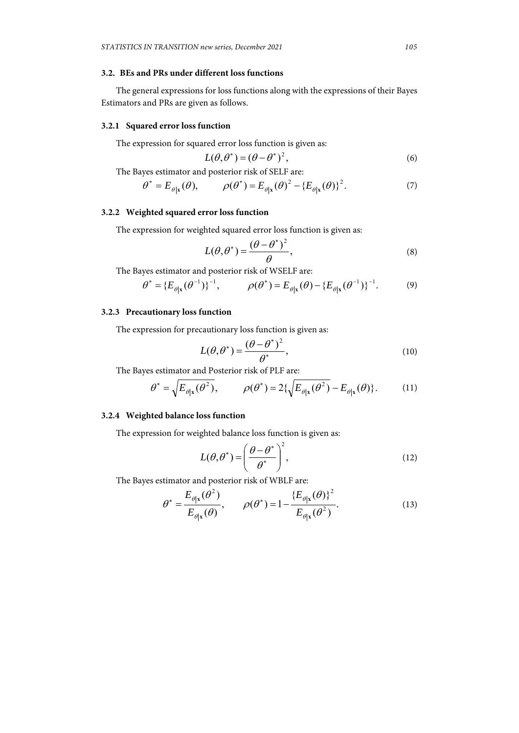# **3.2. BEs and PRs under different loss functions**

The general expressions for loss functions along with the expressions of their Bayes Estimators and PRs are given as follows.

#### **3.2.1 Squared error loss function**

The expression for squared error loss function is given as:

$$
L(\theta, \theta^*) = (\theta - \theta^*)^2,\tag{6}
$$

The Bayes estimator and posterior risk of SELF are:

$$
\theta^* = E_{\theta|\mathbf{x}}(\theta), \qquad \rho(\theta^*) = E_{\theta|\mathbf{x}}(\theta)^2 - \{E_{\theta|\mathbf{x}}(\theta)\}^2. \tag{7}
$$

# **3.2.2 Weighted squared error loss function**

The expression for weighted squared error loss function is given as:

$$
L(\theta, \theta^*) = \frac{(\theta - \theta^*)^2}{\theta},
$$
\n(8)

The Bayes estimator and posterior risk of WSELF are:

$$
\theta^* = \{ E_{\theta | \mathbf{x}}(\theta^{-1}) \}^{-1}, \qquad \rho(\theta^*) = E_{\theta | \mathbf{x}}(\theta) - \{ E_{\theta | \mathbf{x}}(\theta^{-1}) \}^{-1}.
$$
 (9)

#### **3.2.3 Precautionary loss function**

The expression for precautionary loss function is given as:

$$
L(\theta, \theta^*) = \frac{(\theta - \theta^*)^2}{\theta^*},
$$
\n(10)

The Bayes estimator and Posterior risk of PLF are:

$$
\theta^* = \sqrt{E_{\theta|\mathbf{x}}(\theta^2)}, \qquad \rho(\theta^*) = 2\{\sqrt{E_{\theta|\mathbf{x}}(\theta^2)} - E_{\theta|\mathbf{x}}(\theta)\}.
$$
 (11)

### **3.2.4 Weighted balance loss function**

The expression for weighted balance loss function is given as:

$$
L(\theta, \theta^*) = \left(\frac{\theta - \theta^*}{\theta^*}\right)^2,\tag{12}
$$

The Bayes estimator and posterior risk of WBLF are:

$$
\theta^* = \frac{E_{\theta|\mathbf{x}}(\theta^2)}{E_{\theta|\mathbf{x}}(\theta)}, \qquad \rho(\theta^*) = 1 - \frac{\{E_{\theta|\mathbf{x}}(\theta)\}^2}{E_{\theta|\mathbf{x}}(\theta^2)}.
$$
\n(13)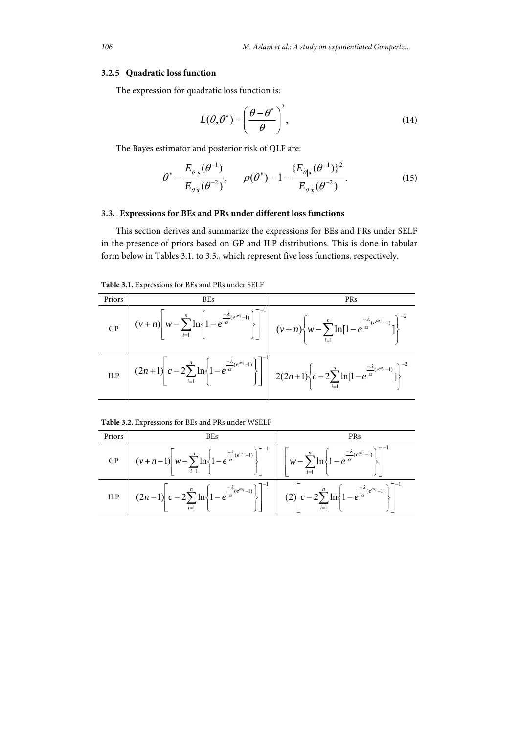#### **3.2.5 Quadratic loss function**

The expression for quadratic loss function is:

$$
L(\theta, \theta^*) = \left(\frac{\theta - \theta^*}{\theta}\right)^2,\tag{14}
$$

The Bayes estimator and posterior risk of QLF are:

$$
\theta^* = \frac{E_{\theta|\mathbf{x}}(\theta^{-1})}{E_{\theta|\mathbf{x}}(\theta^{-2})}, \qquad \rho(\theta^*) = 1 - \frac{\{E_{\theta|\mathbf{x}}(\theta^{-1})\}^2}{E_{\theta|\mathbf{x}}(\theta^{-2})}.
$$
 (15)

# **3.3. Expressions for BEs and PRs under different loss functions**

This section derives and summarize the expressions for BEs and PRs under SELF in the presence of priors based on GP and ILP distributions. This is done in tabular form below in Tables 3.1. to 3.5., which represent five loss functions, respectively.

**Table 3.1.** Expressions for BEs and PRs under SELF

| Priors | <b>BEs</b> | PRs                                                                                                                                                                                                                                             |
|--------|------------|-------------------------------------------------------------------------------------------------------------------------------------------------------------------------------------------------------------------------------------------------|
|        |            | GP $(v+n)\left[w-\sum_{i=1}^{n}\ln\left\{1-e^{\frac{-\lambda}{\alpha}(e^{\alpha t}-1)}\right\}\right]^{-1}\left[v+n\right)\left\{w-\sum_{i=1}^{n}\ln[1-e^{\frac{-\lambda}{\alpha}(e^{\alpha t}-1)}]\right\}^{-2}$                               |
|        |            | $\text{ILP} \quad \left(2n+1\right)\left[c-2\sum_{i=1}^{n}\ln\left\{1-e^{\frac{-\lambda}{\alpha}(e^{\alpha x_i}-1)}\right\}\right]^{-1} \quad 2(2n+1)\left\{c-2\sum_{i=1}^{n}\ln[1-e^{\frac{-\lambda}{\alpha}(e^{\alpha x_i}-1)}]\right\}^{-2}$ |

|  | Table 3.2. Expressions for BEs and PRs under WSELF |  |  |  |
|--|----------------------------------------------------|--|--|--|
|--|----------------------------------------------------|--|--|--|

| Priors | <b>BEs</b>                                                                                                                                                                                                                                      | <b>PRs</b> |
|--------|-------------------------------------------------------------------------------------------------------------------------------------------------------------------------------------------------------------------------------------------------|------------|
| GP     | $\left[(v+n-1)\left[w-\sum_{i=1}^{n}\ln\left\{1-e^{\frac{-\lambda}{\alpha}(e^{\alpha x_i}-1)}\right\}\right]^{-1}\right] \left[w-\sum_{i=1}^{n}\ln\left\{1-e^{\frac{-\lambda}{\alpha}(e^{\alpha x_i}-1)}\right\}\right]^{-1}$                   |            |
| ILP    | $\left[ (2n-1) \left[ c-2 \sum_{i=1}^{n} \ln \left\{ 1-e^{\frac{-\lambda}{\alpha}(e^{\alpha i}-1)} \right\} \right]^{-1} \right] (2) \left[ c-2 \sum_{i=1}^{n} \ln \left\{ 1-e^{\frac{-\lambda}{\alpha}(e^{\alpha i}-1)} \right\} \right]^{-1}$ |            |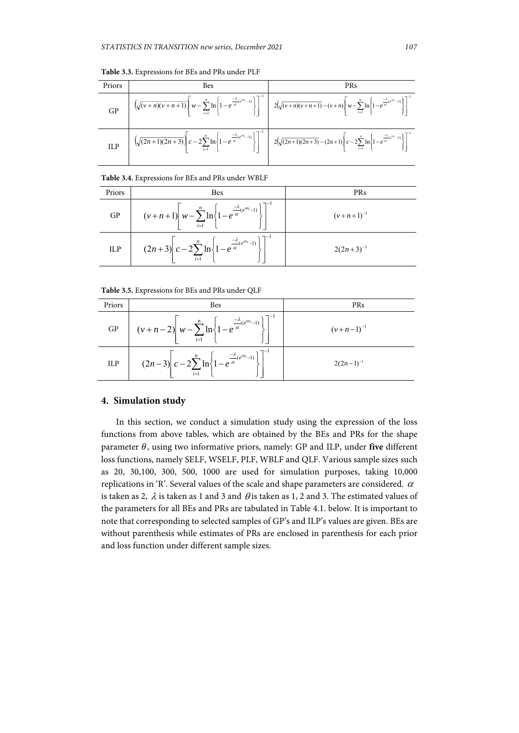| Priors | Bes | <b>PRs</b>                                                                                                                                                                                                                                                                                             |
|--------|-----|--------------------------------------------------------------------------------------------------------------------------------------------------------------------------------------------------------------------------------------------------------------------------------------------------------|
| GP     |     | $\left[\left. \left(\sqrt{(v+n)(v+n+1)}\right) w - \sum_{i=1}^n \ln \left\{1-e^{\frac{-\lambda}{\alpha} (e^{\alpha v_i}-1)}\right\}\right]^{-1} \ \left[ \ \ 2\left(\sqrt{(v+n)(v+n+1)}-(v+n)\right) w - \sum_{i=1}^n \ln \left\{1-e^{\frac{-\lambda}{\alpha} (e^{\alpha v_i}-1)}\right\}\right]^{-1}$ |
| ILP    |     | $\left[\sqrt{(2n+1)(2n+3)}\right]c-2\sum_{i=1}^{n}\ln\left\{1-e^{\frac{-\lambda}{\alpha}(e^{\alpha v}-1)}\right\}\right]^{-1}$ $\left[2\left(\sqrt{(2n+1)(2n+3)}-(2n+1)\right)c-2\sum_{i=1}^{n}\ln\left\{1-e^{\frac{-\lambda}{\alpha}(e^{\alpha v}-1)}\right\}\right]^{-1}$                            |

**Table 3.3.** Expressions for BEs and PRs under PLF

#### **Table 3.4.** Expressions for BEs and PRs under WBLF

| Priors | <b>Bes</b>                                                                                            | <b>PRs</b>     |
|--------|-------------------------------------------------------------------------------------------------------|----------------|
| GP     | $(v+n+1)$ $w-\sum_{i=1}^{n} \ln \left\{1-e^{\frac{-\lambda}{\alpha}(e^{\alpha x}-1)}\right\}$         | $(v+n+1)^{-1}$ |
| ILP    | $(2n+3)\left c-2\sum_{i=1}^{n}\ln\left\{1-e^{\frac{-\lambda}{\alpha}(e^{\alpha i}-1)}\right\}\right $ | $2(2n+3)^{-1}$ |

**Table 3.5.** Expressions for BEs and PRs under QLF

| Priors     | <b>Bes</b>                                                                                                                   | PRs            |
|------------|------------------------------------------------------------------------------------------------------------------------------|----------------|
| GP         | $(v+n-2)\left(w-\sum_{i=1}^{n}\ln\left\{1-e^{\frac{-\lambda}{\alpha}(e^{\alpha x}-1)}\right\}\right]^{-1}$                   | $(v+n-1)^{-1}$ |
| <b>ILP</b> | $\left[ (2n-3) \left[ c-2 \sum_{i=1}^{n} \ln \left\{ 1-e^{\frac{-\lambda}{\alpha} (e^{\alpha t_i}-1)} \right\} \right]^{-1}$ | $2(2n-1)^{-1}$ |

## **4. Simulation study**

In this section, we conduct a simulation study using the expression of the loss functions from above tables, which are obtained by the BEs and PRs for the shape parameter  $\theta$ , using two informative priors, namely: GP and ILP, under **five** different loss functions, namely SELF, WSELF, PLF, WBLF and QLF. Various sample sizes such as 20, 30,100, 300, 500, 1000 are used for simulation purposes, taking 10,000 replications in 'R'. Several values of the scale and shape parameters are considered.  $\alpha$ is taken as 2,  $\lambda$  is taken as 1 and 3 and  $\theta$  is taken as 1, 2 and 3. The estimated values of the parameters for all BEs and PRs are tabulated in Table 4.1. below. It is important to note that corresponding to selected samples of GP's and ILP's values are given. BEs are without parenthesis while estimates of PRs are enclosed in parenthesis for each prior and loss function under different sample sizes.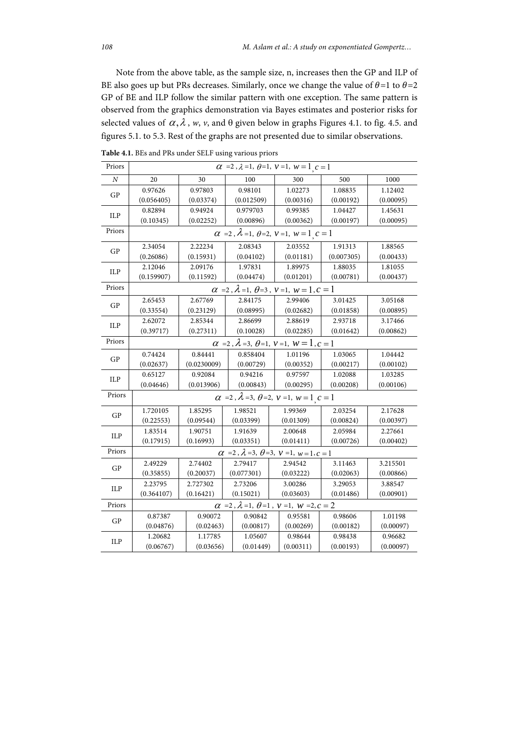Note from the above table, as the sample size, n, increases then the GP and ILP of BE also goes up but PRs decreases. Similarly, once we change the value of  $\theta$ =1 to  $\theta$ =2 GP of BE and ILP follow the similar pattern with one exception. The same pattern is observed from the graphics demonstration via Bayes estimates and posterior risks for selected values of  $\alpha$ ,  $\lambda$ ,  $w$ ,  $v$ , and  $\theta$  given below in graphs Figures 4.1. to fig. 4.5. and figures 5.1. to 5.3. Rest of the graphs are not presented due to similar observations.

| Priors                 | $\alpha$ =2, $\lambda$ =1, $\theta$ =1, $\nu$ =1, $w$ =1 <sub>, <math>c</math></sub> =1 |             |            |                                                                                |            |           |
|------------------------|-----------------------------------------------------------------------------------------|-------------|------------|--------------------------------------------------------------------------------|------------|-----------|
| $\cal N$               | 20                                                                                      | 30          | 100        | 300                                                                            | 500        | 1000      |
| <b>GP</b>              | 0.97626                                                                                 | 0.97803     | 0.98101    | 1.02273                                                                        | 1.08835    | 1.12402   |
|                        | (0.056405)                                                                              | (0.03374)   | (0.012509) | (0.00316)                                                                      | (0.00192)  | (0.00095) |
| ILP                    | 0.82894                                                                                 | 0.94924     | 0.979703   | 0.99385                                                                        | 1.04427    | 1.45631   |
|                        | (0.10345)                                                                               | (0.02252)   | (0.00896)  | (0.00362)                                                                      | (0.00197)  | (0.00095) |
| Priors                 |                                                                                         |             |            | $\alpha$ =2, $\lambda$ =1, $\theta$ =2, $\nu$ =1, $w$ = 1 <sub>,</sub> $c$ = 1 |            |           |
| <b>GP</b>              | 2.34054                                                                                 | 2.22234     | 2.08343    | 2.03552                                                                        | 1.91313    | 1.88565   |
|                        | (0.26086)                                                                               | (0.15931)   | (0.04102)  | (0.01181)                                                                      | (0.007305) | (0.00433) |
| ILP                    | 2.12046                                                                                 | 2.09176     | 1.97831    | 1.89975                                                                        | 1.88035    | 1.81055   |
|                        | (0.159907)                                                                              | (0.11592)   | (0.04474)  | (0.01201)                                                                      | (0.00781)  | (0.00437) |
| Priors                 |                                                                                         |             |            | $\alpha = 2$ , $\lambda = 1$ , $\theta = 3$ , $\nu = 1$ , $w = 1$ , $c = 1$    |            |           |
| $\mathbf{G}\mathbf{P}$ | 2.65453                                                                                 | 2.67769     | 2.84175    | 2.99406                                                                        | 3.01425    | 3.05168   |
|                        | (0.33554)                                                                               | (0.23129)   | (0.08995)  | (0.02682)                                                                      | (0.01858)  | (0.00895) |
| ILP                    | 2.62072                                                                                 | 2.85344     | 2.86699    | 2.88619                                                                        | 2.93718    | 3.17466   |
|                        | (0.39717)                                                                               | (0.27311)   | (0.10028)  | (0.02285)                                                                      | (0.01642)  | (0.00862) |
| Priors                 |                                                                                         |             |            | $\alpha$ =2, $\lambda$ =3, $\theta$ =1, $\nu$ =1, $w$ = 1, $c$ = 1             |            |           |
| <b>GP</b>              | 0.74424                                                                                 | 0.84441     | 0.858404   | 1.01196                                                                        | 1.03065    | 1.04442   |
|                        | (0.02637)                                                                               | (0.0230009) | (0.00729)  | (0.00352)                                                                      | (0.00217)  | (0.00102) |
| ILP                    | 0.65127                                                                                 | 0.92084     | 0.94216    | 0.97597                                                                        | 1.02088    | 1.03285   |
|                        | (0.04646)                                                                               | (0.013906)  | (0.00843)  | (0.00295)                                                                      | (0.00208)  | (0.00106) |
| Priors                 |                                                                                         |             |            | $\alpha$ =2, $\lambda$ =3, $\theta$ =2, $\nu$ =1, $w$ =1, $c$ = 1              |            |           |
| GP                     | 1.720105                                                                                | 1.85295     | 1.98521    | 1.99369                                                                        | 2.03254    | 2.17628   |
|                        | (0.22553)                                                                               | (0.09544)   | (0.03399)  | (0.01309)                                                                      | (0.00824)  | (0.00397) |
| ILP                    | 1.83514                                                                                 | 1.90751     | 1.91639    | 2.00648                                                                        | 2.05984    | 2.27661   |
|                        | (0.17915)                                                                               | (0.16993)   | (0.03351)  | (0.01411)                                                                      | (0.00726)  | (0.00402) |
| Priors                 |                                                                                         |             |            | $\alpha$ =2, $\lambda$ =3, $\theta$ =3, $\nu$ =1, $w$ =1, $c$ =1               |            |           |
| GP                     | 2.49229                                                                                 | 2.74402     | 2.79417    | 2.94542                                                                        | 3.11463    | 3.215501  |
|                        | (0.35855)                                                                               | (0.20037)   | (0.077301) | (0.03222)                                                                      | (0.02063)  | (0.00866) |
| ILP                    | 2.23795                                                                                 | 2.727302    | 2.73206    | 3.00286                                                                        | 3.29053    | 3.88547   |
|                        | (0.364107)                                                                              | (0.16421)   | (0.15021)  | (0.03603)                                                                      | (0.01486)  | (0.00901) |
| Priors                 |                                                                                         |             |            | $\alpha$ = 2, $\lambda$ = 1, $\theta$ = 1, $\nu$ = 1, $w$ = 2, $c$ = 2         |            |           |
| GP                     | 0.87387                                                                                 | 0.90072     | 0.90842    | 0.95581                                                                        | 0.98606    | 1.01198   |
|                        | (0.04876)                                                                               | (0.02463)   | (0.00817)  | (0.00269)                                                                      | (0.00182)  | (0.00097) |
| <b>ILP</b>             | 1.20682                                                                                 | 1.17785     | 1.05607    | 0.98644                                                                        | 0.98438    | 0.96682   |
|                        | (0.06767)                                                                               | (0.03656)   | (0.01449)  | (0.00311)                                                                      | (0.00193)  | (0.00097) |

**Table 4.1.** BEs and PRs under SELF using various priors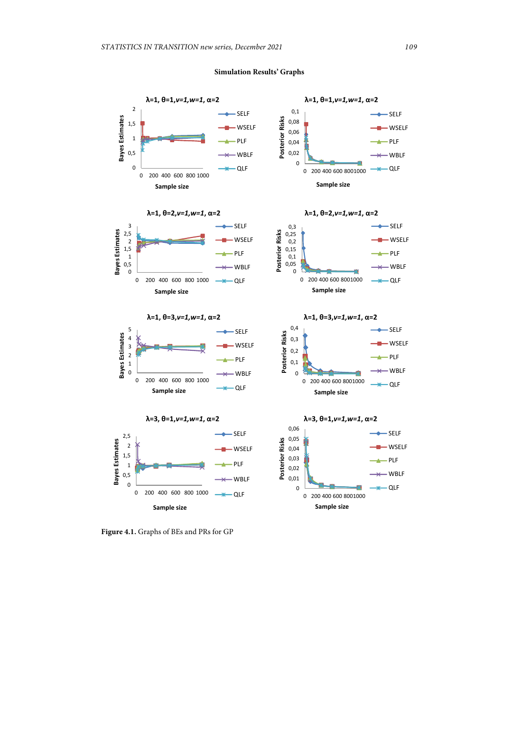## **Simulation Results' Graphs**



**Figure 4.1.** Graphs of BEs and PRs for GP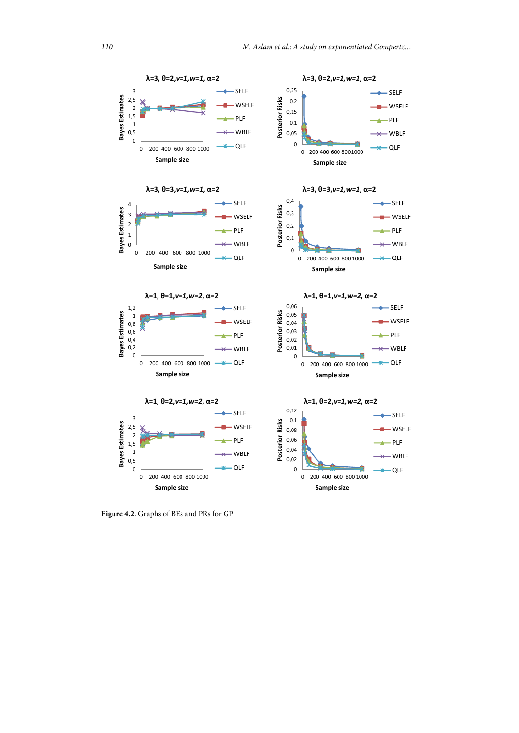

**Figure 4.2.** Graphs of BEs and PRs for GP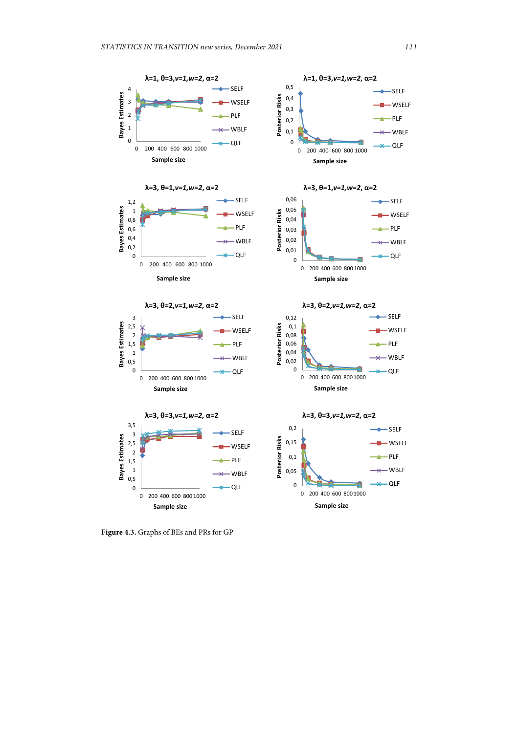

**Figure 4.3.** Graphs of BEs and PRs for GP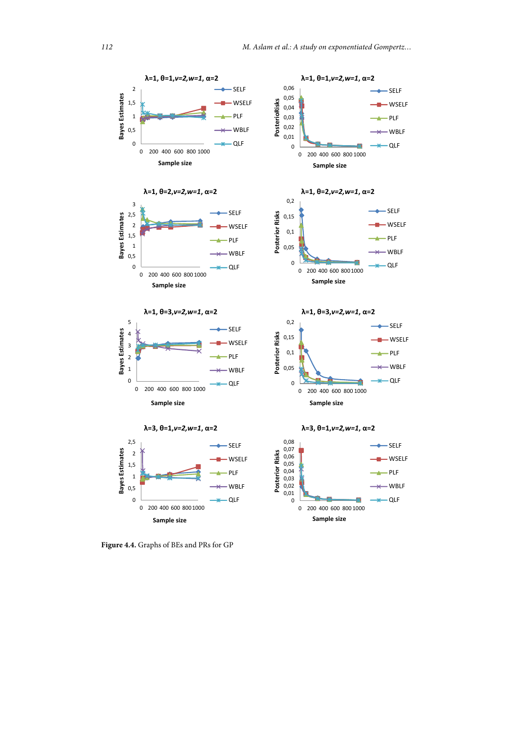

**Figure 4.4.** Graphs of BEs and PRs for GP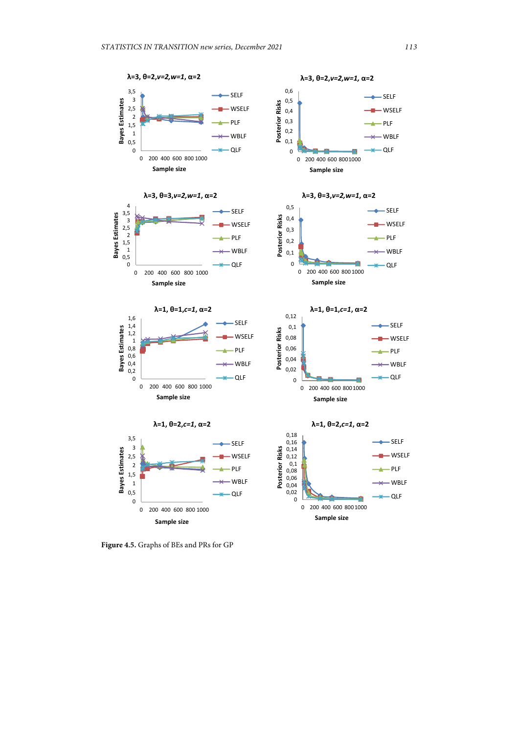

**Figure 4.5.** Graphs of BEs and PRs for GP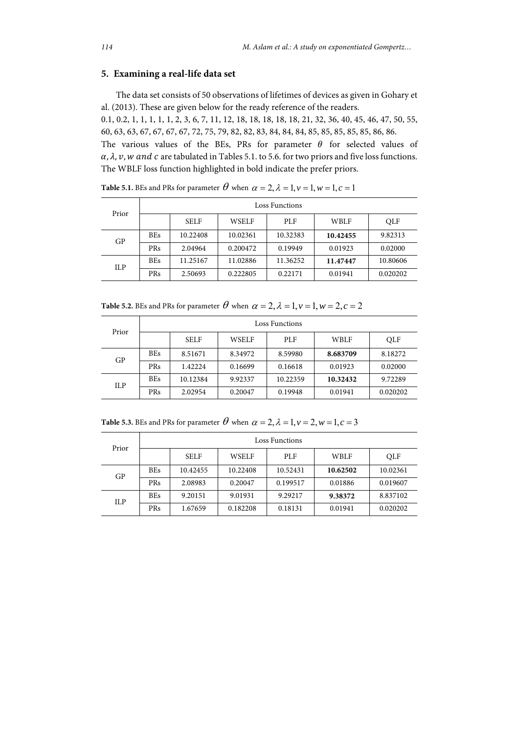# **5. Examining a real-life data set**

The data set consists of 50 observations of lifetimes of devices as given in Gohary et al. (2013). These are given below for the ready reference of the readers.

0.1, 0.2, 1, 1, 1, 1, 1, 2, 3, 6, 7, 11, 12, 18, 18, 18, 18, 18, 21, 32, 36, 40, 45, 46, 47, 50, 55, 60, 63, 63, 67, 67, 67, 67, 72, 75, 79, 82, 82, 83, 84, 84, 84, 85, 85, 85, 85, 85, 86, 86.

The various values of the BEs, PRs for parameter  $\theta$  for selected values of  $\alpha$ ,  $\lambda$ ,  $\nu$ ,  $w$  and  $c$  are tabulated in Tables 5.1. to 5.6. for two priors and five loss functions. The WBLF loss function highlighted in bold indicate the prefer priors.

| Prior | Loss Functions |             |              |          |             |            |  |
|-------|----------------|-------------|--------------|----------|-------------|------------|--|
|       |                | <b>SELF</b> | <b>WSELF</b> | PLF      | <b>WBLF</b> | <b>OLF</b> |  |
| GP    | <b>BEs</b>     | 10.22408    | 10.02361     | 10.32383 | 10.42455    | 9.82313    |  |
|       | <b>PRs</b>     | 2.04964     | 0.200472     | 0.19949  | 0.01923     | 0.02000    |  |
| ILP   | <b>BEs</b>     | 11.25167    | 11.02886     | 11.36252 | 11.47447    | 10.80606   |  |
|       | <b>PRs</b>     | 2.50693     | 0.222805     | 0.22171  | 0.01941     | 0.020202   |  |

**Table 5.1.** BEs and PRs for parameter  $\theta$  when  $\alpha = 2$ ,  $\lambda = 1$ ,  $\nu = 1$ ,  $\nu = 1$ ,  $c = 1$ 

**Table 5.2.** BEs and PRs for parameter  $\theta$  when  $\alpha = 2$ ,  $\lambda = 1$ ,  $v = 1$ ,  $w = 2$ ,  $c = 2$ 

| Prior | Loss Functions |             |         |            |             |          |  |
|-------|----------------|-------------|---------|------------|-------------|----------|--|
|       |                | <b>SELF</b> | WSELF   | <b>PLF</b> | <b>WBLF</b> | QLF      |  |
| GP    | <b>BEs</b>     | 8.51671     | 8.34972 | 8.59980    | 8.683709    | 8.18272  |  |
|       | <b>PRs</b>     | 1.42224     | 0.16699 | 0.16618    | 0.01923     | 0.02000  |  |
| ILP   | <b>BEs</b>     | 10.12384    | 9.92337 | 10.22359   | 10.32432    | 9.72289  |  |
|       | <b>PRs</b>     | 2.02954     | 0.20047 | 0.19948    | 0.01941     | 0.020202 |  |

**Table 5.3.** BEs and PRs for parameter  $\theta$  when  $\alpha = 2$ ,  $\lambda = 1$ ,  $\nu = 2$ ,  $w = 1$ ,  $c = 3$ 

| Prior | Loss Functions |             |              |            |             |            |  |
|-------|----------------|-------------|--------------|------------|-------------|------------|--|
|       |                | <b>SELF</b> | <b>WSELF</b> | <b>PLF</b> | <b>WBLF</b> | <b>OLF</b> |  |
| GP    | <b>BEs</b>     | 10.42455    | 10.22408     | 10.52431   | 10.62502    | 10.02361   |  |
|       | <b>PRs</b>     | 2.08983     | 0.20047      | 0.199517   | 0.01886     | 0.019607   |  |
| ILP   | <b>BEs</b>     | 9.20151     | 9.01931      | 9.29217    | 9.38372     | 8.837102   |  |
|       | PRs            | 1.67659     | 0.182208     | 0.18131    | 0.01941     | 0.020202   |  |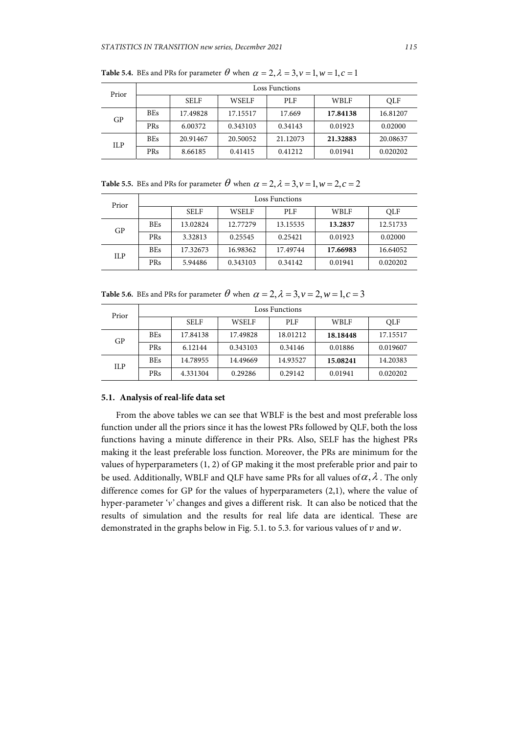| Prior | Loss Functions |             |              |            |             |            |  |
|-------|----------------|-------------|--------------|------------|-------------|------------|--|
|       |                | <b>SELF</b> | <b>WSELF</b> | <b>PLF</b> | <b>WBLF</b> | <b>OLF</b> |  |
| GP    | <b>BEs</b>     | 17.49828    | 17.15517     | 17.669     | 17.84138    | 16.81207   |  |
|       | PRs            | 6.00372     | 0.343103     | 0.34143    | 0.01923     | 0.02000    |  |
| ILP   | <b>BEs</b>     | 20.91467    | 20.50052     | 21.12073   | 21.32883    | 20.08637   |  |
|       | PRs            | 8.66185     | 0.41415      | 0.41212    | 0.01941     | 0.020202   |  |

**Table 5.4.** BEs and PRs for parameter  $\theta$  when  $\alpha = 2$ ,  $\lambda = 3$ ,  $\nu = 1$ ,  $w = 1$ ,  $c = 1$ 

**Table 5.5.** BEs and PRs for parameter  $\theta$  when  $\alpha = 2$ ,  $\lambda = 3$ ,  $\nu = 1$ ,  $w = 2$ ,  $c = 2$ 

| Prior | Loss Functions |             |              |            |             |            |  |
|-------|----------------|-------------|--------------|------------|-------------|------------|--|
|       |                | <b>SELF</b> | <b>WSELF</b> | <b>PLF</b> | <b>WBLF</b> | <b>OLF</b> |  |
| GP    | <b>BEs</b>     | 13.02824    | 12.77279     | 13.15535   | 13.2837     | 12.51733   |  |
|       | <b>PRs</b>     | 3.32813     | 0.25545      | 0.25421    | 0.01923     | 0.02000    |  |
| ILP   | <b>BEs</b>     | 17.32673    | 16.98362     | 17.49744   | 17.66983    | 16.64052   |  |
|       | <b>PRs</b>     | 5.94486     | 0.343103     | 0.34142    | 0.01941     | 0.020202   |  |

**Table 5.6.** BEs and PRs for parameter  $\theta$  when  $\alpha = 2$ ,  $\lambda = 3$ ,  $\nu = 2$ ,  $w = 1$ ,  $c = 3$ 

| Prior | Loss Functions |             |              |            |             |            |
|-------|----------------|-------------|--------------|------------|-------------|------------|
|       |                | <b>SELF</b> | <b>WSELF</b> | <b>PLF</b> | <b>WBLF</b> | <b>OLF</b> |
| GP    | <b>BEs</b>     | 17.84138    | 17.49828     | 18.01212   | 18.18448    | 17.15517   |
|       | PRs            | 6.12144     | 0.343103     | 0.34146    | 0.01886     | 0.019607   |
| ILP   | <b>BEs</b>     | 14.78955    | 14.49669     | 14.93527   | 15.08241    | 14.20383   |
|       | PRs            | 4.331304    | 0.29286      | 0.29142    | 0.01941     | 0.020202   |

## **5.1. Analysis of real-life data set**

From the above tables we can see that WBLF is the best and most preferable loss function under all the priors since it has the lowest PRs followed by QLF, both the loss functions having a minute difference in their PRs. Also, SELF has the highest PRs making it the least preferable loss function. Moreover, the PRs are minimum for the values of hyperparameters (1, 2) of GP making it the most preferable prior and pair to be used. Additionally, WBLF and QLF have same PRs for all values of  $\alpha$ ,  $\lambda$ . The only difference comes for GP for the values of hyperparameters (2,1), where the value of hyper-parameter '*v'* changes and gives a different risk. It can also be noticed that the results of simulation and the results for real life data are identical. These are demonstrated in the graphs below in Fig. 5.1. to 5.3. for various values of  $v$  and  $w$ .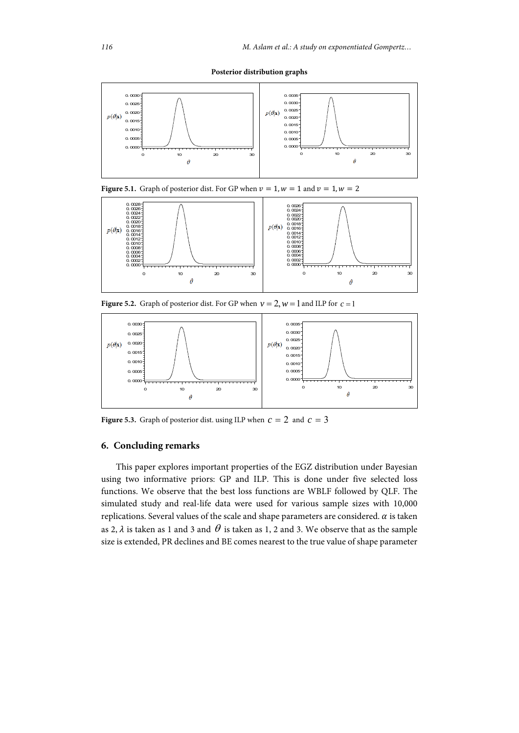**Posterior distribution graphs** 



**Figure 5.1.** Graph of posterior dist. For GP when  $v = 1$ ,  $w = 1$  and  $v = 1$ ,  $w = 2$ 



**Figure 5.2.** Graph of posterior dist. For GP when  $v = 2$ ,  $w = 1$  and ILP for  $c = 1$ 



**Figure 5.3.** Graph of posterior dist. using ILP when  $c = 2$  and  $c = 3$ 

# **6. Concluding remarks**

This paper explores important properties of the EGZ distribution under Bayesian using two informative priors: GP and ILP. This is done under five selected loss functions. We observe that the best loss functions are WBLF followed by QLF. The simulated study and real-life data were used for various sample sizes with 10,000 replications. Several values of the scale and shape parameters are considered.  $\alpha$  is taken as 2,  $\lambda$  is taken as 1 and 3 and  $\theta$  is taken as 1, 2 and 3. We observe that as the sample size is extended, PR declines and BE comes nearest to the true value of shape parameter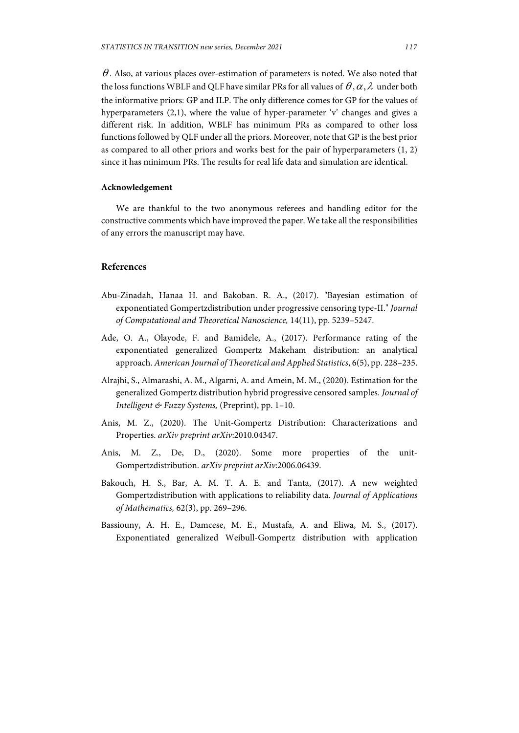$\theta$ . Also, at various places over-estimation of parameters is noted. We also noted that the loss functions WBLF and QLF have similar PRs for all values of  $\theta$ ,  $\alpha$ ,  $\lambda$  under both the informative priors: GP and ILP. The only difference comes for GP for the values of hyperparameters (2,1), where the value of hyper-parameter 'v' changes and gives a different risk. In addition, WBLF has minimum PRs as compared to other loss functions followed by QLF under all the priors. Moreover, note that GP is the best prior as compared to all other priors and works best for the pair of hyperparameters  $(1, 2)$ since it has minimum PRs. The results for real life data and simulation are identical.

### **Acknowledgement**

We are thankful to the two anonymous referees and handling editor for the constructive comments which have improved the paper. We take all the responsibilities of any errors the manuscript may have.

## **References**

- Abu-Zinadah, Hanaa H. and Bakoban. R. A., (2017). "Bayesian estimation of exponentiated Gompertzdistribution under progressive censoring type-II." *Journal of Computational and Theoretical Nanoscience,* 14(11), pp. 5239–5247.
- Ade, O. A., Olayode, F. and Bamidele, A., (2017). Performance rating of the exponentiated generalized Gompertz Makeham distribution: an analytical approach. *American Journal of Theoretical and Applied Statistics*, 6(5), pp. 228–235.
- Alrajhi, S., Almarashi, A. M., Algarni, A. and Amein, M. M., (2020). Estimation for the generalized Gompertz distribution hybrid progressive censored samples. *Journal of Intelligent & Fuzzy Systems,* (Preprint), pp. 1–10.
- Anis, M. Z., (2020). The Unit-Gompertz Distribution: Characterizations and Properties. *arXiv preprint arXiv*:2010.04347.
- Anis, M. Z., De, D., (2020). Some more properties of the unit-Gompertzdistribution. *arXiv preprint arXiv*:2006.06439.
- Bakouch, H. S., Bar, A. M. T. A. E. and Tanta, (2017). A new weighted Gompertzdistribution with applications to reliability data. *Journal of Applications of Mathematics,* 62(3), pp. 269–296.
- Bassiouny, A. H. E., Damcese, M. E., Mustafa, A. and Eliwa, M. S., (2017). Exponentiated generalized Weibull-Gompertz distribution with application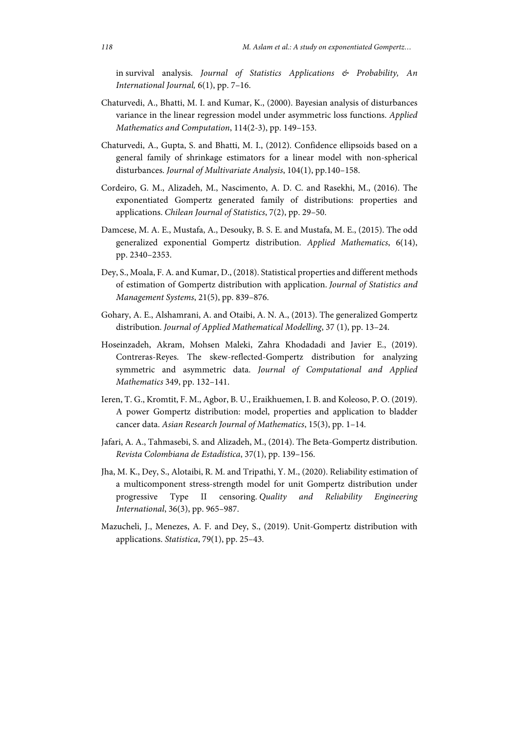in survival analysis. *Journal of Statistics Applications & Probability, An International Journal,* 6(1), pp. 7–16.

- Chaturvedi, A., Bhatti, M. I. and Kumar, K., (2000). Bayesian analysis of disturbances variance in the linear regression model under asymmetric loss functions. *Applied Mathematics and Computation*, 114(2-3), pp. 149–153.
- Chaturvedi, A., Gupta, S. and Bhatti, M. I., (2012). Confidence ellipsoids based on a general family of shrinkage estimators for a linear model with non-spherical disturbances. *Journal of Multivariate Analysis*, 104(1), pp.140–158.
- Cordeiro, G. M., Alizadeh, M., Nascimento, A. D. C. and Rasekhi, M., (2016). The exponentiated Gompertz generated family of distributions: properties and applications. *Chilean Journal of Statistics*, 7(2), pp. 29–50.
- Damcese, M. A. E., Mustafa, A., Desouky, B. S. E. and Mustafa, M. E., (2015). The odd generalized exponential Gompertz distribution. *Applied Mathematics*, 6(14), pp. 2340–2353.
- Dey, S., Moala, F. A. and Kumar, D., (2018). Statistical properties and different methods of estimation of Gompertz distribution with application. *Journal of Statistics and Management Systems*, 21(5), pp. 839–876.
- Gohary, A. E., Alshamrani, A. and Otaibi, A. N. A., (2013). The generalized Gompertz distribution. *Journal of Applied Mathematical Modelling*, 37 (1), pp. 13–24.
- Hoseinzadeh, Akram, Mohsen Maleki, Zahra Khodadadi and Javier E., (2019). Contreras-Reyes. The skew-reflected-Gompertz distribution for analyzing symmetric and asymmetric data. *Journal of Computational and Applied Mathematics* 349, pp. 132–141.
- Ieren, T. G., Kromtit, F. M., Agbor, B. U., Eraikhuemen, I. B. and Koleoso, P. O. (2019). A power Gompertz distribution: model, properties and application to bladder cancer data. *Asian Research Journal of Mathematics*, 15(3), pp. 1–14.
- Jafari, A. A., Tahmasebi, S. and Alizadeh, M., (2014). The Beta-Gompertz distribution. *Revista Colombiana de Estadística*, 37(1), pp. 139–156.
- Jha, M. K., Dey, S., Alotaibi, R. M. and Tripathi, Y. M., (2020). Reliability estimation of a multicomponent stress‐strength model for unit Gompertz distribution under progressive Type II censoring. *Quality and Reliability Engineering International*, 36(3), pp. 965–987.
- Mazucheli, J., Menezes, A. F. and Dey, S., (2019). Unit-Gompertz distribution with applications. *Statistica*, 79(1), pp. 25–43.